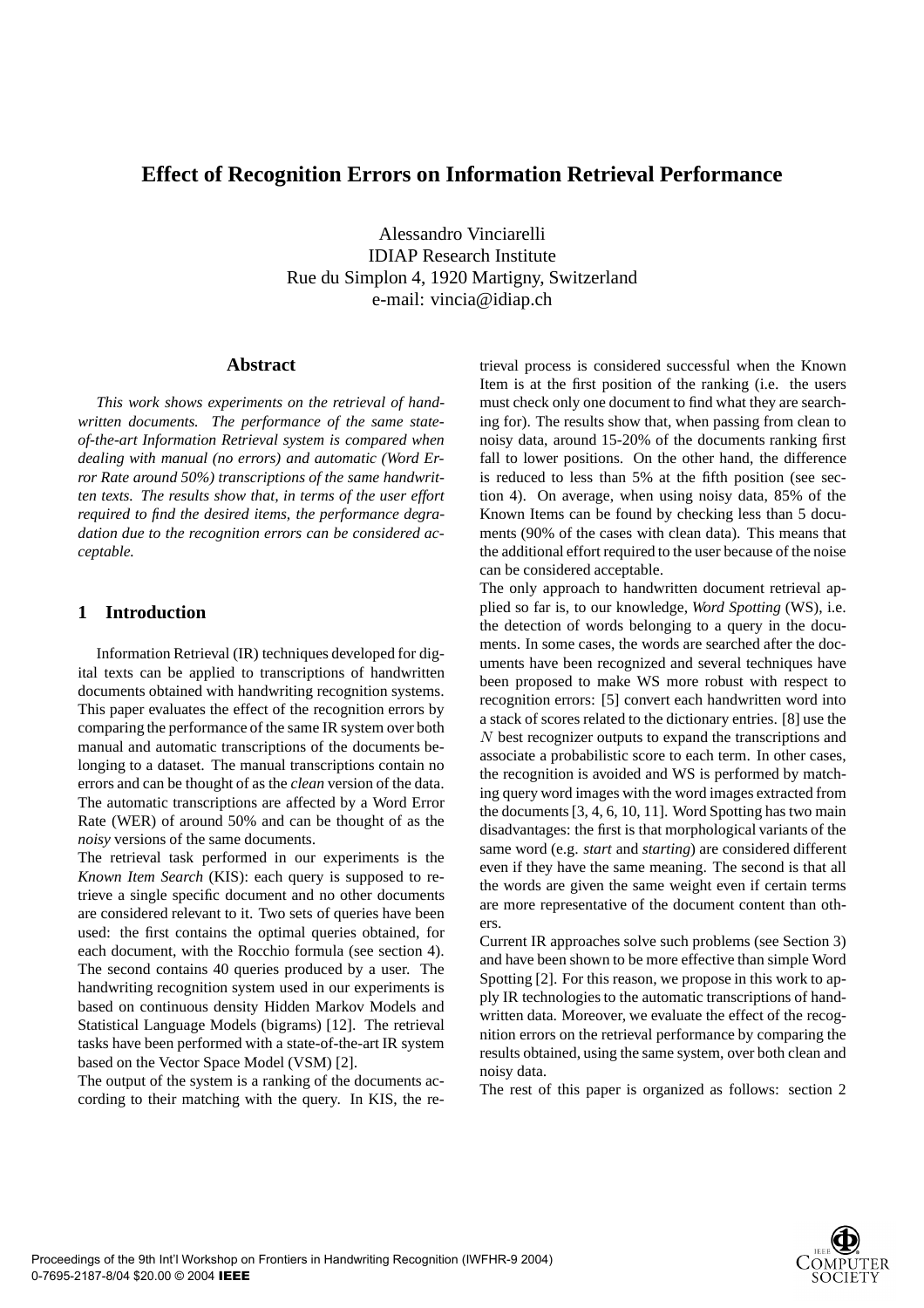# **Effect of Recognition Errors on Information Retrieval Performance**

Alessandro Vinciarelli IDIAP Research Institute Rue du Simplon 4, 1920 Martigny, Switzerland e-mail: vincia@idiap.ch

## **Abstract**

*This work shows experiments on the retrieval of handwritten documents. The performance of the same stateof-the-art Information Retrieval system is compared when dealing with manual (no errors) and automatic (Word Error Rate around 50%) transcriptions of the same handwritten texts. The results show that, in terms of the user effort required to find the desired items, the performance degradation due to the recognition errors can be considered acceptable.*

## **1 Introduction**

Information Retrieval (IR) techniques developed for digital texts can be applied to transcriptions of handwritten documents obtained with handwriting recognition systems. This paper evaluates the effect of the recognition errors by comparing the performance of the same IR system over both manual and automatic transcriptions of the documents belonging to a dataset. The manual transcriptions contain no errors and can be thought of as the *clean* version of the data. The automatic transcriptions are affected by a Word Error Rate (WER) of around 50% and can be thought of as the *noisy* versions of the same documents.

The retrieval task performed in our experiments is the *Known Item Search* (KIS): each query is supposed to retrieve a single specific document and no other documents are considered relevant to it. Two sets of queries have been used: the first contains the optimal queries obtained, for each document, with the Rocchio formula (see section 4). The second contains 40 queries produced by a user. The handwriting recognition system used in our experiments is based on continuous density Hidden Markov Models and Statistical Language Models (bigrams) [12]. The retrieval tasks have been performed with a state-of-the-art IR system based on the Vector Space Model (VSM) [2].

The output of the system is a ranking of the documents according to their matching with the query. In KIS, the retrieval process is considered successful when the Known Item is at the first position of the ranking (i.e. the users must check only one document to find what they are searching for). The results show that, when passing from clean to noisy data, around 15-20% of the documents ranking first fall to lower positions. On the other hand, the difference is reduced to less than 5% at the fifth position (see section 4). On average, when using noisy data, 85% of the Known Items can be found by checking less than 5 documents (90% of the cases with clean data). This means that the additional effort required to the user because of the noise can be considered acceptable.

The only approach to handwritten document retrieval applied so far is, to our knowledge, *Word Spotting* (WS), i.e. the detection of words belonging to a query in the documents. In some cases, the words are searched after the documents have been recognized and several techniques have been proposed to make WS more robust with respect to recognition errors: [5] convert each handwritten word into a stack of scores related to the dictionary entries. [8] use the N best recognizer outputs to expand the transcriptions and associate a probabilistic score to each term. In other cases, the recognition is avoided and WS is performed by matching query word images with the word images extracted from the documents [3, 4, 6, 10, 11]. Word Spotting has two main disadvantages: the first is that morphological variants of the same word (e.g. *start* and *starting*) are considered different even if they have the same meaning. The second is that all the words are given the same weight even if certain terms are more representative of the document content than others.

Current IR approaches solve such problems (see Section 3) and have been shown to be more effective than simple Word Spotting [2]. For this reason, we propose in this work to apply IR technologies to the automatic transcriptions of handwritten data. Moreover, we evaluate the effect of the recognition errors on the retrieval performance by comparing the results obtained, using the same system, over both clean and noisy data.

The rest of this paper is organized as follows: section 2

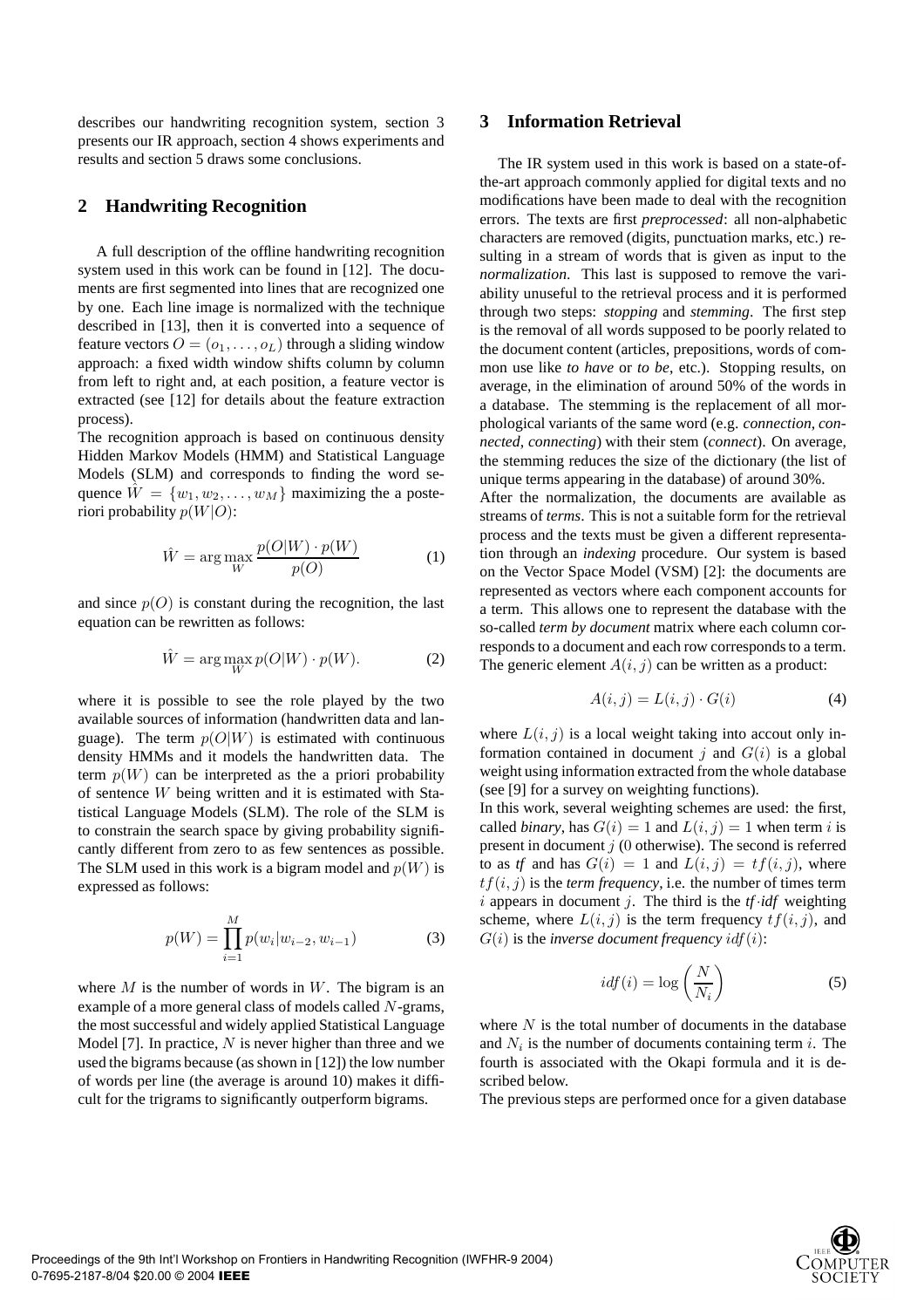describes our handwriting recognition system, section 3 presents our IR approach, section 4 shows experiments and results and section 5 draws some conclusions.

## **2 Handwriting Recognition**

A full description of the offline handwriting recognition system used in this work can be found in [12]. The documents are first segmented into lines that are recognized one by one. Each line image is normalized with the technique described in [13], then it is converted into a sequence of feature vectors  $O = (o_1, \ldots, o_L)$  through a sliding window approach: a fixed width window shifts column by column from left to right and, at each position, a feature vector is extracted (see [12] for details about the feature extraction process).

The recognition approach is based on continuous density Hidden Markov Models (HMM) and Statistical Language Models (SLM) and corresponds to finding the word sequence  $W = \{w_1, w_2, \ldots, w_M\}$  maximizing the a posteriori probability  $p(W|O)$ :

$$
\hat{W} = \arg\max_{W} \frac{p(O|W) \cdot p(W)}{p(O)} \tag{1}
$$

and since  $p(O)$  is constant during the recognition, the last equation can be rewritten as follows:

$$
\hat{W} = \arg\max_{W} p(O|W) \cdot p(W). \tag{2}
$$

where it is possible to see the role played by the two available sources of information (handwritten data and language). The term  $p(O|W)$  is estimated with continuous density HMMs and it models the handwritten data. The term  $p(W)$  can be interpreted as the a priori probability of sentence W being written and it is estimated with Statistical Language Models (SLM). The role of the SLM is to constrain the search space by giving probability significantly different from zero to as few sentences as possible. The SLM used in this work is a bigram model and  $p(W)$  is expressed as follows:

$$
p(W) = \prod_{i=1}^{M} p(w_i | w_{i-2}, w_{i-1})
$$
 (3)

where  $M$  is the number of words in  $W$ . The bigram is an example of a more general class of models called N-grams, the most successful and widely applied Statistical Language Model [7]. In practice,  $N$  is never higher than three and we used the bigrams because (as shown in [12]) the low number of words per line (the average is around 10) makes it difficult for the trigrams to significantly outperform bigrams.

## **3 Information Retrieval**

The IR system used in this work is based on a state-ofthe-art approach commonly applied for digital texts and no modifications have been made to deal with the recognition errors. The texts are first *preprocessed*: all non-alphabetic characters are removed (digits, punctuation marks, etc.) resulting in a stream of words that is given as input to the *normalization*. This last is supposed to remove the variability unuseful to the retrieval process and it is performed through two steps: *stopping* and *stemming*. The first step is the removal of all words supposed to be poorly related to the document content (articles, prepositions, words of common use like *to have* or *to be*, etc.). Stopping results, on average, in the elimination of around 50% of the words in a database. The stemming is the replacement of all morphological variants of the same word (e.g. *connection*, *connected*, *connecting*) with their stem (*connect*). On average, the stemming reduces the size of the dictionary (the list of unique terms appearing in the database) of around 30%.

After the normalization, the documents are available as streams of *terms*. This is not a suitable form for the retrieval process and the texts must be given a different representation through an *indexing* procedure. Our system is based on the Vector Space Model (VSM) [2]: the documents are represented as vectors where each component accounts for a term. This allows one to represent the database with the so-called *term by document* matrix where each column corresponds to a document and each row corresponds to a term. The generic element  $A(i, j)$  can be written as a product:

$$
A(i,j) = L(i,j) \cdot G(i) \tag{4}
$$

where  $L(i, j)$  is a local weight taking into accout only information contained in document j and  $G(i)$  is a global weight using information extracted from the whole database (see [9] for a survey on weighting functions).

In this work, several weighting schemes are used: the first, called *binary*, has  $G(i) = 1$  and  $L(i, j) = 1$  when term i is present in document  $i(0)$  otherwise). The second is referred to as *tf* and has  $G(i) = 1$  and  $L(i, j) = tf(i, j)$ , where  $tf(i, j)$  is the *term frequency*, i.e. the number of times term i appears in document j. The third is the  $tf \cdot idf$  weighting scheme, where  $L(i, j)$  is the term frequency  $tf(i, j)$ , and  $G(i)$  is the *inverse document frequency*  $\textit{id} f(i)$ :

$$
idf(i) = \log\left(\frac{N}{N_i}\right) \tag{5}
$$

where  $N$  is the total number of documents in the database and  $N_i$  is the number of documents containing term i. The fourth is associated with the Okapi formula and it is described below.

The previous steps are performed once for a given database

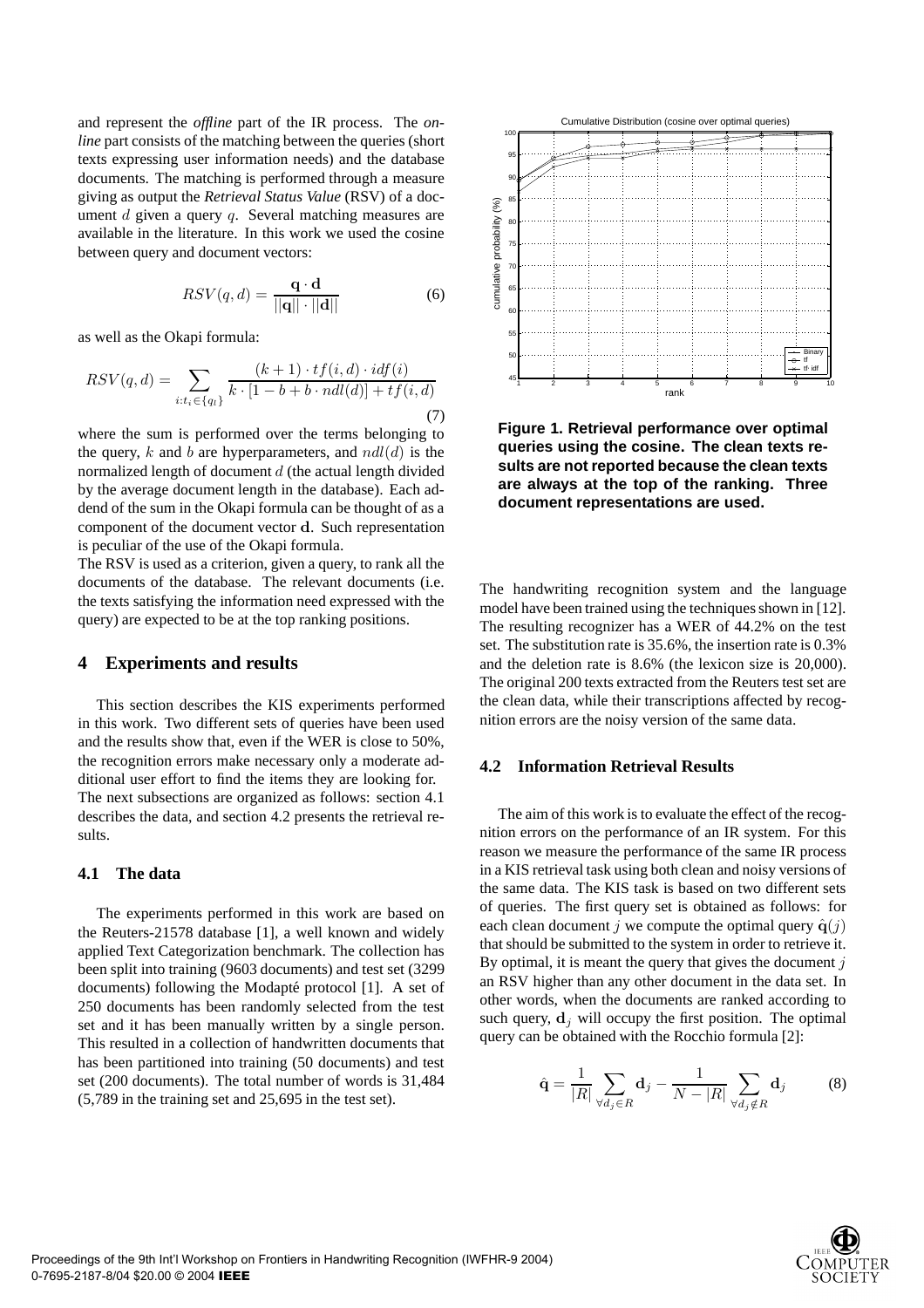and represent the *offline* part of the IR process. The *online* part consists of the matching between the queries (short texts expressing user information needs) and the database documents. The matching is performed through a measure giving as output the *Retrieval Status Value* (RSV) of a document  $d$  given a query  $q$ . Several matching measures are available in the literature. In this work we used the cosine between query and document vectors:

$$
RSV(q, d) = \frac{\mathbf{q} \cdot \mathbf{d}}{||\mathbf{q}|| \cdot ||\mathbf{d}||}
$$
 (6)

as well as the Okapi formula:

$$
RSV(q, d) = \sum_{i:t_i \in \{q_i\}} \frac{(k+1) \cdot tf(i, d) \cdot idf(i)}{k \cdot [1 - b + b \cdot ndl(d)] + tf(i, d)}
$$
\n(7)

where the sum is performed over the terms belonging to the query, k and b are hyperparameters, and  $ndl(d)$  is the normalized length of document  $d$  (the actual length divided by the average document length in the database). Each addend of the sum in the Okapi formula can be thought of as a component of the document vector d. Such representation is peculiar of the use of the Okapi formula.

The RSV is used as a criterion, given a query, to rank all the documents of the database. The relevant documents (i.e. the texts satisfying the information need expressed with the query) are expected to be at the top ranking positions.

#### **4 Experiments and results**

This section describes the KIS experiments performed in this work. Two different sets of queries have been used and the results show that, even if the WER is close to 50%, the recognition errors make necessary only a moderate additional user effort to find the items they are looking for. The next subsections are organized as follows: section 4.1 describes the data, and section 4.2 presents the retrieval results.

## **4.1 The data**

The experiments performed in this work are based on the Reuters-21578 database [1], a well known and widely applied Text Categorization benchmark. The collection has been split into training (9603 documents) and test set (3299 documents) following the Modapté protocol [1]. A set of 250 documents has been randomly selected from the test set and it has been manually written by a single person. This resulted in a collection of handwritten documents that has been partitioned into training (50 documents) and test set (200 documents). The total number of words is 31,484 (5,789 in the training set and 25,695 in the test set).



**Figure 1. Retrieval performance over optimal queries using the cosine. The clean texts results are not reported because the clean texts are always at the top of the ranking. Three document representations are used.**

The handwriting recognition system and the language model have been trained using the techniques shown in [12]. The resulting recognizer has a WER of 44.2% on the test set. The substitution rate is 35.6%, the insertion rate is 0.3% and the deletion rate is 8.6% (the lexicon size is 20,000). The original 200 texts extracted from the Reuters test set are the clean data, while their transcriptions affected by recognition errors are the noisy version of the same data.

#### **4.2 Information Retrieval Results**

The aim of this work is to evaluate the effect of the recognition errors on the performance of an IR system. For this reason we measure the performance of the same IR process in a KIS retrieval task using both clean and noisy versions of the same data. The KIS task is based on two different sets of queries. The first query set is obtained as follows: for each clean document j we compute the optimal query  $\hat{q}(j)$ that should be submitted to the system in order to retrieve it. By optimal, it is meant the query that gives the document  $j$ an RSV higher than any other document in the data set. In other words, when the documents are ranked according to such query,  $\mathbf{d}_i$  will occupy the first position. The optimal query can be obtained with the Rocchio formula [2]:

$$
\hat{\mathbf{q}} = \frac{1}{|R|} \sum_{\forall d_j \in R} \mathbf{d}_j - \frac{1}{N - |R|} \sum_{\forall d_j \notin R} \mathbf{d}_j \tag{8}
$$

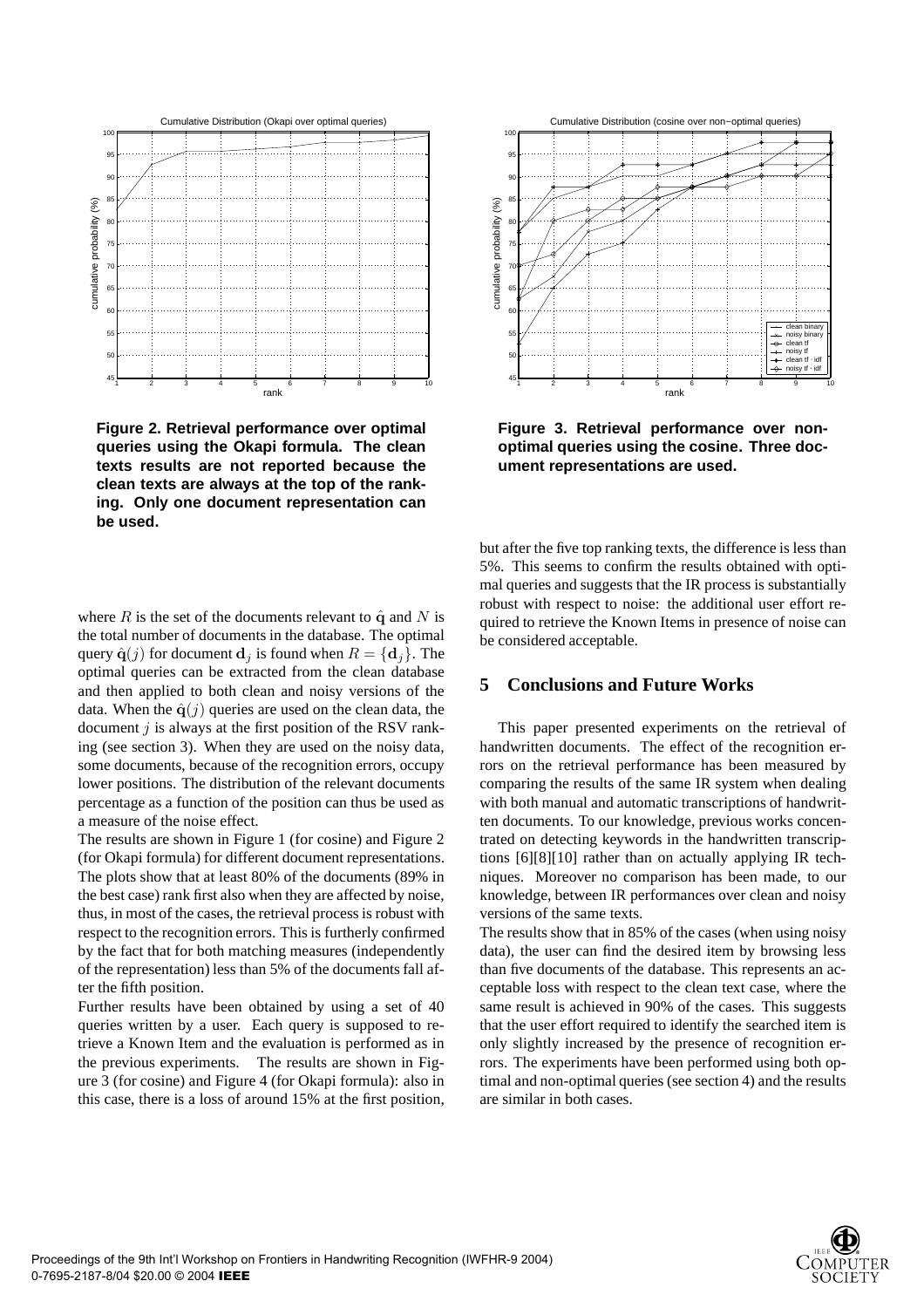

**Figure 2. Retrieval performance over optimal queries using the Okapi formula. The clean texts results are not reported because the clean texts are always at the top of the ranking. Only one document representation can be used.**

where R is the set of the documents relevant to  $\hat{q}$  and N is the total number of documents in the database. The optimal query  $\hat{\mathbf{q}}(j)$  for document  $\mathbf{d}_j$  is found when  $R = {\mathbf{d}_j}$ . The optimal queries can be extracted from the clean database and then applied to both clean and noisy versions of the data. When the  $\hat{q}(i)$  queries are used on the clean data, the document  $j$  is always at the first position of the RSV ranking (see section 3). When they are used on the noisy data, some documents, because of the recognition errors, occupy lower positions. The distribution of the relevant documents percentage as a function of the position can thus be used as a measure of the noise effect.

The results are shown in Figure 1 (for cosine) and Figure 2 (for Okapi formula) for different document representations. The plots show that at least 80% of the documents (89% in the best case) rank first also when they are affected by noise, thus, in most of the cases, the retrieval process is robust with respect to the recognition errors. This is furtherly confirmed by the fact that for both matching measures (independently of the representation) less than 5% of the documents fall after the fifth position.

Further results have been obtained by using a set of 40 queries written by a user. Each query is supposed to retrieve a Known Item and the evaluation is performed as in the previous experiments. The results are shown in Figure 3 (for cosine) and Figure 4 (for Okapi formula): also in this case, there is a loss of around 15% at the first position,



**Figure 3. Retrieval performance over nonoptimal queries using the cosine. Three document representations are used.**

but after the five top ranking texts, the difference is less than 5%. This seems to confirm the results obtained with optimal queries and suggests that the IR process is substantially robust with respect to noise: the additional user effort required to retrieve the Known Items in presence of noise can be considered acceptable.

## **5 Conclusions and Future Works**

This paper presented experiments on the retrieval of handwritten documents. The effect of the recognition errors on the retrieval performance has been measured by comparing the results of the same IR system when dealing with both manual and automatic transcriptions of handwritten documents. To our knowledge, previous works concentrated on detecting keywords in the handwritten transcriptions [6][8][10] rather than on actually applying IR techniques. Moreover no comparison has been made, to our knowledge, between IR performances over clean and noisy versions of the same texts.

The results show that in 85% of the cases (when using noisy data), the user can find the desired item by browsing less than five documents of the database. This represents an acceptable loss with respect to the clean text case, where the same result is achieved in 90% of the cases. This suggests that the user effort required to identify the searched item is only slightly increased by the presence of recognition errors. The experiments have been performed using both optimal and non-optimal queries (see section 4) and the results are similar in both cases.